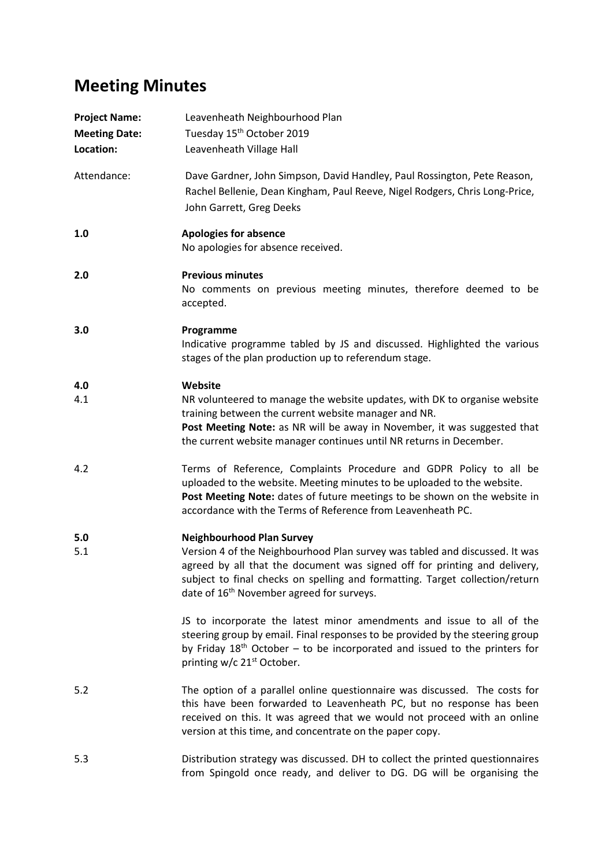## **Meeting Minutes**

| <b>Project Name:</b><br><b>Meeting Date:</b><br>Location: | Leavenheath Neighbourhood Plan<br>Tuesday 15 <sup>th</sup> October 2019<br>Leavenheath Village Hall                                                                                                                                                                                                                                   |
|-----------------------------------------------------------|---------------------------------------------------------------------------------------------------------------------------------------------------------------------------------------------------------------------------------------------------------------------------------------------------------------------------------------|
| Attendance:                                               | Dave Gardner, John Simpson, David Handley, Paul Rossington, Pete Reason,<br>Rachel Bellenie, Dean Kingham, Paul Reeve, Nigel Rodgers, Chris Long-Price,<br>John Garrett, Greg Deeks                                                                                                                                                   |
| 1.0                                                       | <b>Apologies for absence</b><br>No apologies for absence received.                                                                                                                                                                                                                                                                    |
| 2.0                                                       | <b>Previous minutes</b><br>No comments on previous meeting minutes, therefore deemed to be<br>accepted.                                                                                                                                                                                                                               |
| 3.0                                                       | Programme<br>Indicative programme tabled by JS and discussed. Highlighted the various<br>stages of the plan production up to referendum stage.                                                                                                                                                                                        |
| 4.0<br>4.1                                                | Website<br>NR volunteered to manage the website updates, with DK to organise website<br>training between the current website manager and NR.<br>Post Meeting Note: as NR will be away in November, it was suggested that<br>the current website manager continues until NR returns in December.                                       |
| 4.2                                                       | Terms of Reference, Complaints Procedure and GDPR Policy to all be<br>uploaded to the website. Meeting minutes to be uploaded to the website.<br>Post Meeting Note: dates of future meetings to be shown on the website in<br>accordance with the Terms of Reference from Leavenheath PC.                                             |
| 5.0<br>5.1                                                | <b>Neighbourhood Plan Survey</b><br>Version 4 of the Neighbourhood Plan survey was tabled and discussed. It was<br>agreed by all that the document was signed off for printing and delivery,<br>subject to final checks on spelling and formatting. Target collection/return<br>date of 16 <sup>th</sup> November agreed for surveys. |
|                                                           | JS to incorporate the latest minor amendments and issue to all of the<br>steering group by email. Final responses to be provided by the steering group<br>by Friday $18th$ October – to be incorporated and issued to the printers for<br>printing w/c 21 <sup>st</sup> October.                                                      |
| 5.2                                                       | The option of a parallel online questionnaire was discussed. The costs for<br>this have been forwarded to Leavenheath PC, but no response has been<br>received on this. It was agreed that we would not proceed with an online<br>version at this time, and concentrate on the paper copy.                                            |
| 5.3                                                       | Distribution strategy was discussed. DH to collect the printed questionnaires<br>from Spingold once ready, and deliver to DG. DG will be organising the                                                                                                                                                                               |